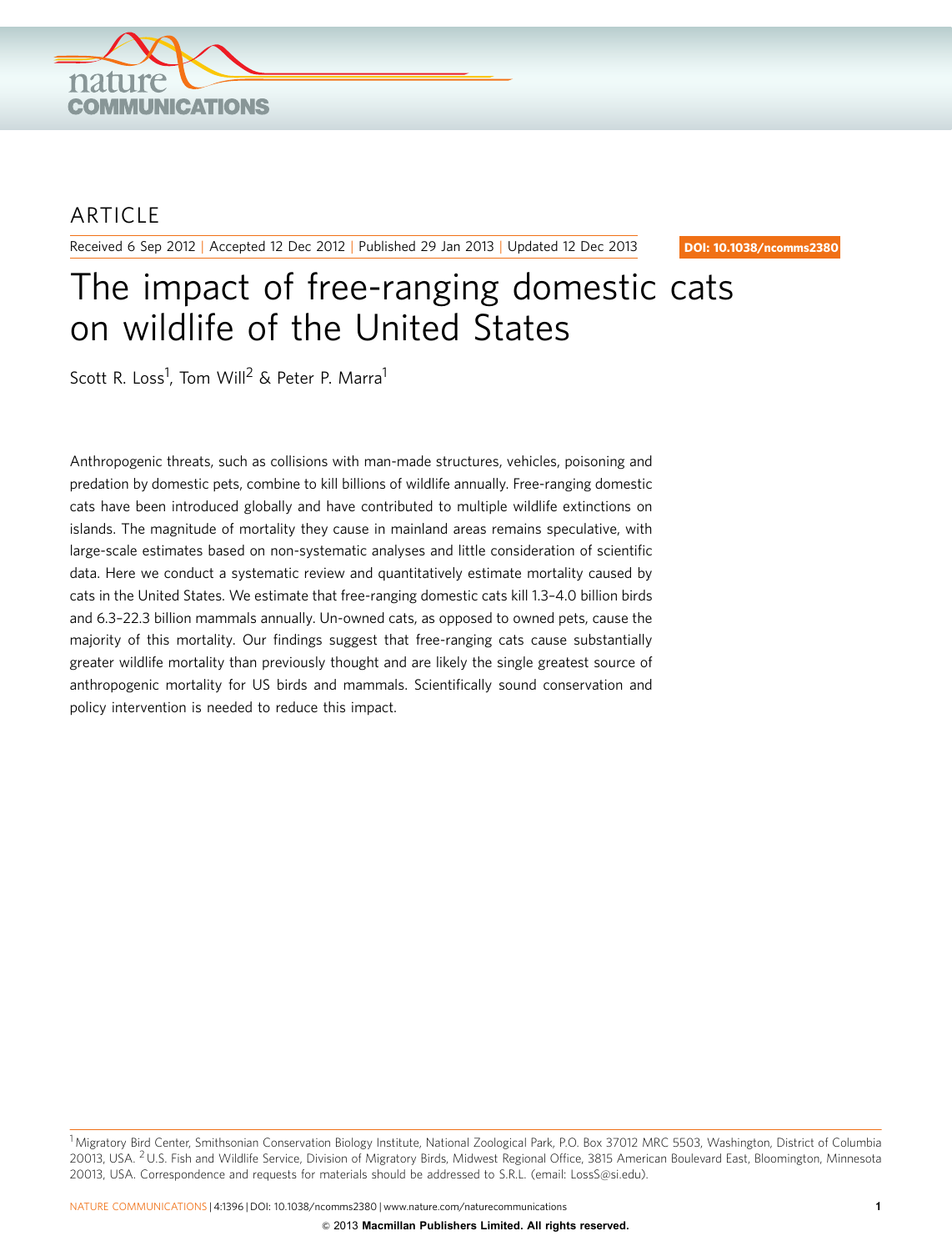

## **ARTICLE**

Received 6 Sep 2012 | Accepted 12 Dec 2012 | Published 29 Jan 2013 | Updated 12 Dec 2013

DOI: 10.1038/ncomms2380

# The impact of free-ranging domestic cats on wildlife of the United States

Scott R. Loss<sup>1</sup>, Tom Will<sup>2</sup> & Peter P. Marra<sup>1</sup>

Anthropogenic threats, such as collisions with man-made structures, vehicles, poisoning and predation by domestic pets, combine to kill billions of wildlife annually. Free-ranging domestic cats have been introduced globally and have contributed to multiple wildlife extinctions on islands. The magnitude of mortality they cause in mainland areas remains speculative, with large-scale estimates based on non-systematic analyses and little consideration of scientific data. Here we conduct a systematic review and quantitatively estimate mortality caused by cats in the United States. We estimate that free-ranging domestic cats kill 1.3–4.0 billion birds and 6.3–22.3 billion mammals annually. Un-owned cats, as opposed to owned pets, cause the majority of this mortality. Our findings suggest that free-ranging cats cause substantially greater wildlife mortality than previously thought and are likely the single greatest source of anthropogenic mortality for US birds and mammals. Scientifically sound conservation and policy intervention is needed to reduce this impact.

<sup>&</sup>lt;sup>1</sup> Migratory Bird Center, Smithsonian Conservation Biology Institute, National Zoological Park, P.O. Box 37012 MRC 5503, Washington, District of Columbia 20013, USA. <sup>2</sup>U.S. Fish and Wildlife Service, Division of Migratory Birds, Midwest Regional Office, 3815 American Boulevard East, Bloomington, Minnesota 20013, USA. Correspondence and requests for materials should be addressed to S.R.L. (email: [LossS@si.edu\)](mailto:LossS@si.edu).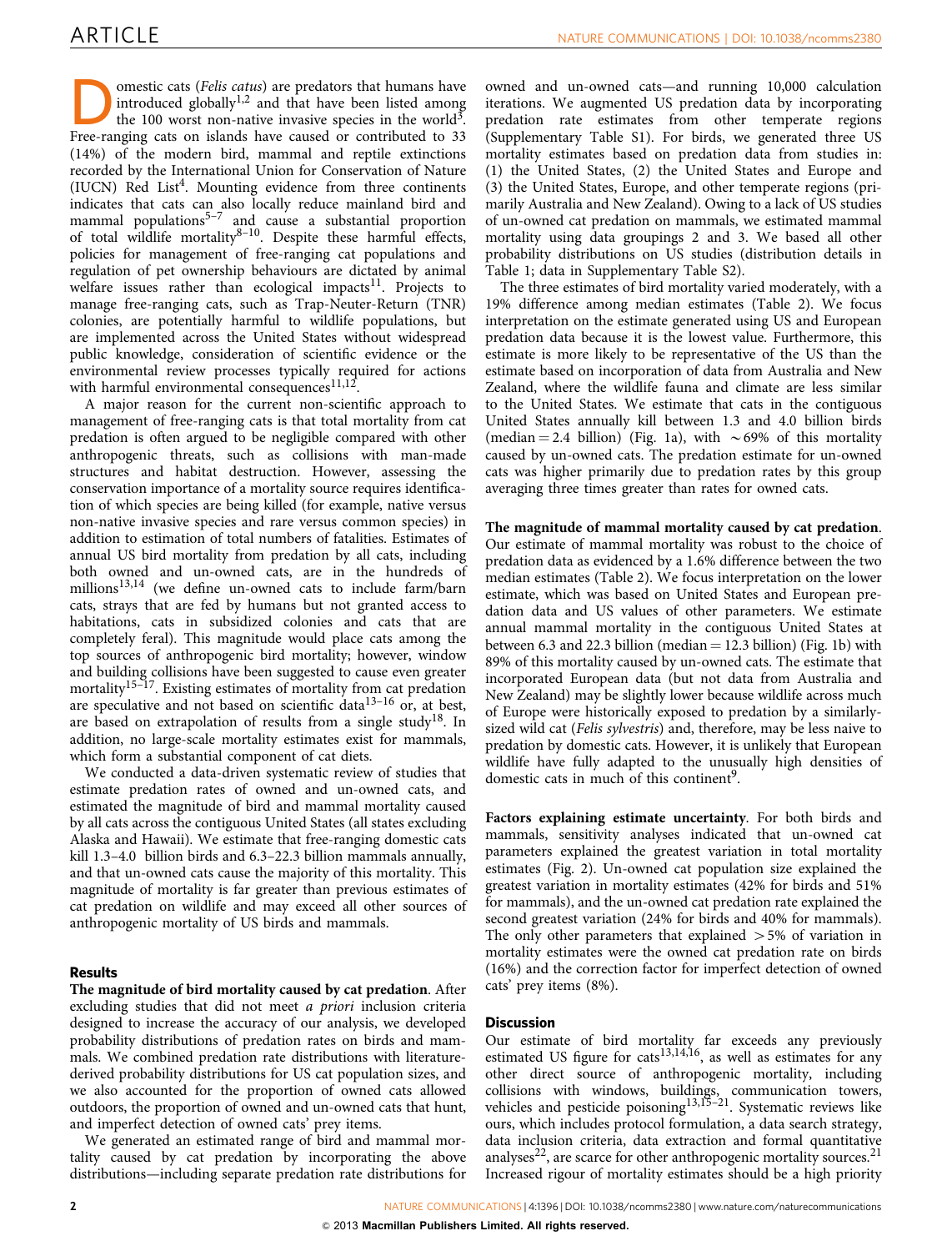**Domestic cats (***Felis catus***)** are predators that humans have<br>introduced globally<sup>1,2</sup> and that have been listed among<br>the 100 worst non-native invasive species in the world<sup>3</sup>.<br>Free-ranging cats on islands have caused o introduced globally $1,2$  and that have been listed among the 100 worst non-native invasive species in the world<sup>3</sup>. Free-ranging cats on islands have caused or contributed to 33 (14%) of the modern bird, mammal and reptile extinctions recorded by the International Union for Conservation of Nature  $(IUCN)$  Red List<sup>4</sup>. Mounting evidence from three continents indicates that cats can also locally reduce mainland bird and mammal populations<sup>[5–7](#page-5-0)</sup> and cause a substantial proportion of total wildlife mortality<sup>8-10</sup>. Despite these harmful effects, policies for management of free-ranging cat populations and regulation of pet ownership behaviours are dictated by animal welfare issues rather than ecological impacts<sup>11</sup>. Projects to manage free-ranging cats, such as Trap-Neuter-Return (TNR) colonies, are potentially harmful to wildlife populations, but are implemented across the United States without widespread public knowledge, consideration of scientific evidence or the environmental review processes typically required for actions with harmful environmental consequences<sup>11,12</sup>.

A major reason for the current non-scientific approach to management of free-ranging cats is that total mortality from cat predation is often argued to be negligible compared with other anthropogenic threats, such as collisions with man-made structures and habitat destruction. However, assessing the conservation importance of a mortality source requires identification of which species are being killed (for example, native versus non-native invasive species and rare versus common species) in addition to estimation of total numbers of fatalities. Estimates of annual US bird mortality from predation by all cats, including both owned and un-owned cats, are in the hundreds of millions<sup>13,14</sup> (we define un-owned cats to include farm/barn cats, strays that are fed by humans but not granted access to habitations, cats in subsidized colonies and cats that are completely feral). This magnitude would place cats among the top sources of anthropogenic bird mortality; however, window and building collisions have been suggested to cause even greater mortalit[y15–17.](#page-5-0) Existing estimates of mortality from cat predation are speculative and not based on scientific data[13–16](#page-5-0) or, at best, are based on extrapolation of results from a single study<sup>[18](#page-5-0)</sup>. In addition, no large-scale mortality estimates exist for mammals, which form a substantial component of cat diets.

We conducted a data-driven systematic review of studies that estimate predation rates of owned and un-owned cats, and estimated the magnitude of bird and mammal mortality caused by all cats across the contiguous United States (all states excluding Alaska and Hawaii). We estimate that free-ranging domestic cats kill 1.3–4.0 billion birds and 6.3–22.3 billion mammals annually, and that un-owned cats cause the majority of this mortality. This magnitude of mortality is far greater than previous estimates of cat predation on wildlife and may exceed all other sources of anthropogenic mortality of US birds and mammals.

### Results

The magnitude of bird mortality caused by cat predation. After excluding studies that did not meet a priori inclusion criteria designed to increase the accuracy of our analysis, we developed probability distributions of predation rates on birds and mammals. We combined predation rate distributions with literaturederived probability distributions for US cat population sizes, and we also accounted for the proportion of owned cats allowed outdoors, the proportion of owned and un-owned cats that hunt, and imperfect detection of owned cats' prey items.

We generated an estimated range of bird and mammal mortality caused by cat predation by incorporating the above distributions—including separate predation rate distributions for owned and un-owned cats—and running 10,000 calculation iterations. We augmented US predation data by incorporating predation rate estimates from other temperate regions (Supplementary Table S1). For birds, we generated three US mortality estimates based on predation data from studies in: (1) the United States, (2) the United States and Europe and (3) the United States, Europe, and other temperate regions (primarily Australia and New Zealand). Owing to a lack of US studies of un-owned cat predation on mammals, we estimated mammal mortality using data groupings 2 and 3. We based all other probability distributions on US studies (distribution details in [Table 1](#page-2-0); data in Supplementary Table S2).

The three estimates of bird mortality varied moderately, with a 19% difference among median estimates [\(Table 2\)](#page-2-0). We focus interpretation on the estimate generated using US and European predation data because it is the lowest value. Furthermore, this estimate is more likely to be representative of the US than the estimate based on incorporation of data from Australia and New Zealand, where the wildlife fauna and climate are less similar to the United States. We estimate that cats in the contiguous United States annually kill between 1.3 and 4.0 billion birds (median = 2.4 billion) ([Fig. 1a](#page-3-0)), with  $\sim$  69% of this mortality caused by un-owned cats. The predation estimate for un-owned cats was higher primarily due to predation rates by this group averaging three times greater than rates for owned cats.

The magnitude of mammal mortality caused by cat predation. Our estimate of mammal mortality was robust to the choice of predation data as evidenced by a 1.6% difference between the two median estimates [\(Table 2](#page-2-0)). We focus interpretation on the lower estimate, which was based on United States and European predation data and US values of other parameters. We estimate annual mammal mortality in the contiguous United States at between 6.3 and 22.3 billion (median  $=$  12.3 billion) [\(Fig. 1b](#page-3-0)) with 89% of this mortality caused by un-owned cats. The estimate that incorporated European data (but not data from Australia and New Zealand) may be slightly lower because wildlife across much of Europe were historically exposed to predation by a similarlysized wild cat (Felis sylvestris) and, therefore, may be less naive to predation by domestic cats. However, it is unlikely that European wildlife have fully adapted to the unusually high densities of domestic cats in much of this continent<sup>[9](#page-5-0)</sup>.

Factors explaining estimate uncertainty. For both birds and mammals, sensitivity analyses indicated that un-owned cat parameters explained the greatest variation in total mortality estimates ([Fig. 2\)](#page-3-0). Un-owned cat population size explained the greatest variation in mortality estimates (42% for birds and 51% for mammals), and the un-owned cat predation rate explained the second greatest variation (24% for birds and 40% for mammals). The only other parameters that explained  $>5%$  of variation in mortality estimates were the owned cat predation rate on birds (16%) and the correction factor for imperfect detection of owned cats' prey items (8%).

#### Discussion

Our estimate of bird mortality far exceeds any previously estimated US figure for cats<sup>[13,14,16](#page-5-0)</sup>, as well as estimates for any other direct source of anthropogenic mortality, including collisions with windows, buildings, communication towers, vehicles and pesticide poisoning $13,15-21$ . Systematic reviews like ours, which includes protocol formulation, a data search strategy, data inclusion criteria, data extraction and formal quantitative analyses<sup>22</sup>, are scarce for other anthropogenic mortality sources.<sup>21</sup> Increased rigour of mortality estimates should be a high priority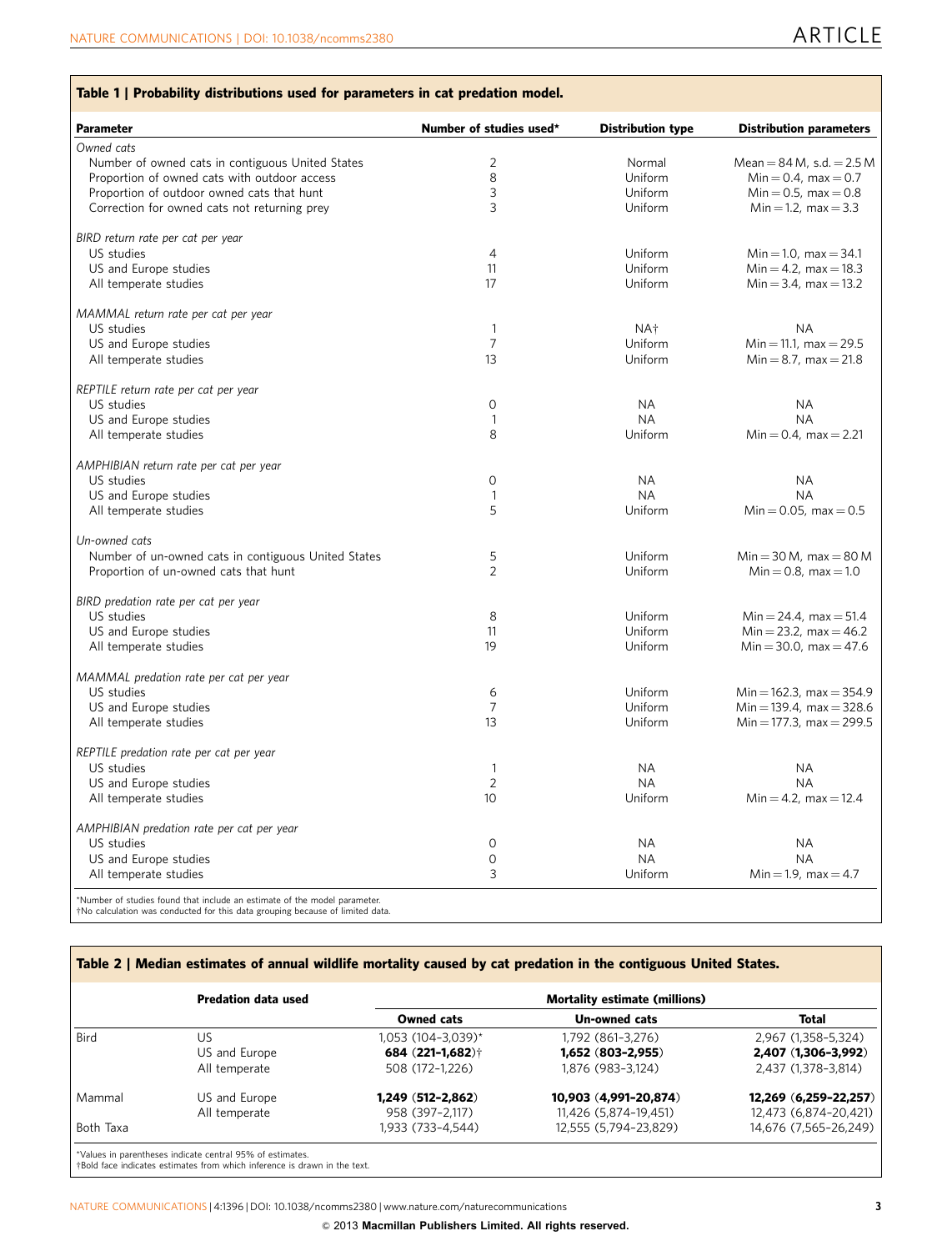### <span id="page-2-0"></span>Table 1 | Probability distributions used for parameters in cat predation model.

| <b>Parameter</b>                                                          | Number of studies used* | <b>Distribution type</b> | <b>Distribution parameters</b> |
|---------------------------------------------------------------------------|-------------------------|--------------------------|--------------------------------|
| Owned cats                                                                |                         |                          |                                |
| Number of owned cats in contiguous United States                          | 2                       | Normal                   | Mean = $84$ M, s.d. = $2.5$ M  |
| Proportion of owned cats with outdoor access                              | 8                       | Uniform                  | $Min = 0.4$ , $max = 0.7$      |
| Proportion of outdoor owned cats that hunt                                | 3                       | Uniform                  | $Min = 0.5$ , max = 0.8        |
| Correction for owned cats not returning prey                              | 3                       | Uniform                  | $Min = 1.2$ , max = 3.3        |
| BIRD return rate per cat per year                                         |                         |                          |                                |
| US studies                                                                | 4                       | Uniform                  | $Min = 1.0$ , max = 34.1       |
| US and Europe studies                                                     | 11                      | Uniform                  | $Min = 4.2$ , max = 18.3       |
| All temperate studies                                                     | 17                      | Uniform                  | $Min = 3.4$ , max = 13.2       |
| MAMMAL return rate per cat per year                                       |                         |                          |                                |
| US studies                                                                | $\mathbf{1}$            | NA <sup>+</sup>          | <b>NA</b>                      |
| US and Europe studies                                                     | $\overline{7}$          | Uniform                  | $Min = 11.1$ , max = 29.5      |
| All temperate studies                                                     | 13                      | Uniform                  | $Min = 8.7$ , $max = 21.8$     |
| REPTILE return rate per cat per year                                      |                         |                          |                                |
| US studies                                                                | $\mathbf{O}$            | <b>NA</b>                | <b>NA</b>                      |
| US and Europe studies                                                     | $\mathbf{1}$            | <b>NA</b>                | <b>NA</b>                      |
| All temperate studies                                                     | 8                       | Uniform                  | $Min = 0.4$ , max = 2.21       |
| AMPHIBIAN return rate per cat per year                                    |                         |                          |                                |
| US studies                                                                | 0                       | <b>NA</b>                | <b>NA</b>                      |
| US and Europe studies                                                     | $\mathbf{1}$            | <b>NA</b>                | <b>NA</b>                      |
| All temperate studies                                                     | 5                       | Uniform                  | $Min = 0.05$ , max = 0.5       |
| Un-owned cats                                                             |                         |                          |                                |
| Number of un-owned cats in contiguous United States                       | 5                       | Uniform                  | $Min = 30 M$ , $max = 80 M$    |
| Proportion of un-owned cats that hunt                                     | $\overline{2}$          | Uniform                  | $Min = 0.8$ , max = 1.0        |
| BIRD predation rate per cat per year                                      |                         |                          |                                |
| US studies                                                                | 8                       | Uniform                  | $Min = 24.4$ , $max = 51.4$    |
| US and Europe studies                                                     | 11                      | Uniform                  | $Min = 23.2$ , max = 46.2      |
| All temperate studies                                                     | 19                      | Uniform                  | $Min = 30.0$ , $max = 47.6$    |
| MAMMAL predation rate per cat per year                                    |                         |                          |                                |
| US studies                                                                | 6                       | Uniform                  | $Min = 162.3$ , max = 354.9    |
| US and Europe studies                                                     | $\overline{7}$          | Uniform                  | $Min = 139.4$ , $max = 328.6$  |
| All temperate studies                                                     | 13                      | Uniform                  | $Min = 177.3$ , max = 299.5    |
| REPTILE predation rate per cat per year                                   |                         |                          |                                |
| US studies                                                                | $\mathbf{1}$            | <b>NA</b>                | <b>NA</b>                      |
| US and Europe studies                                                     | $\overline{2}$          | <b>NA</b>                | <b>NA</b>                      |
| All temperate studies                                                     | 10 <sup>°</sup>         | Uniform                  | $Min = 4.2$ , max = 12.4       |
| AMPHIBIAN predation rate per cat per year                                 |                         |                          |                                |
| US studies                                                                | 0                       | <b>NA</b>                | <b>NA</b>                      |
| US and Europe studies                                                     | 0                       | <b>NA</b>                | <b>NA</b>                      |
| All temperate studies                                                     | 3                       | Uniform                  | $Min = 1.9$ , max = 4.7        |
| *Number of studies found that include an estimate of the model parameter. |                         |                          |                                |

tNo calculation was conducted for this data grouping because of limited data.

#### Table 2 | Median estimates of annual wildlife mortality caused by cat predation in the contiguous United States.

|             | <b>Predation data used</b>                                | <b>Mortality estimate (millions)</b> |                       |                       |  |
|-------------|-----------------------------------------------------------|--------------------------------------|-----------------------|-----------------------|--|
|             |                                                           | Owned cats                           | Un-owned cats         | Total                 |  |
| <b>Bird</b> | US                                                        | 1,053 (104-3,039)*                   | 1,792 (861-3,276)     | 2,967 (1,358-5,324)   |  |
|             | US and Europe                                             | 684 (221-1.682)†                     | 1,652 (803-2,955)     | 2,407 (1,306-3,992)   |  |
|             | All temperate                                             | 508 (172-1.226)                      | 1.876 (983-3.124)     | 2,437 (1,378-3,814)   |  |
| Mammal      | US and Europe                                             | 1,249 (512-2,862)                    | 10,903 (4,991-20,874) | 12,269 (6,259-22,257) |  |
|             | All temperate                                             | 958 (397-2.117)                      | 11,426 (5,874-19,451) | 12,473 (6,874-20,421) |  |
| Both Taxa   |                                                           | 1,933 (733-4,544)                    | 12,555 (5,794-23,829) | 14,676 (7,565-26,249) |  |
|             | *Values in parentheses indicate central 95% of estimates. |                                      |                       |                       |  |

+Bold face indicates estimates from which inference is drawn in the text.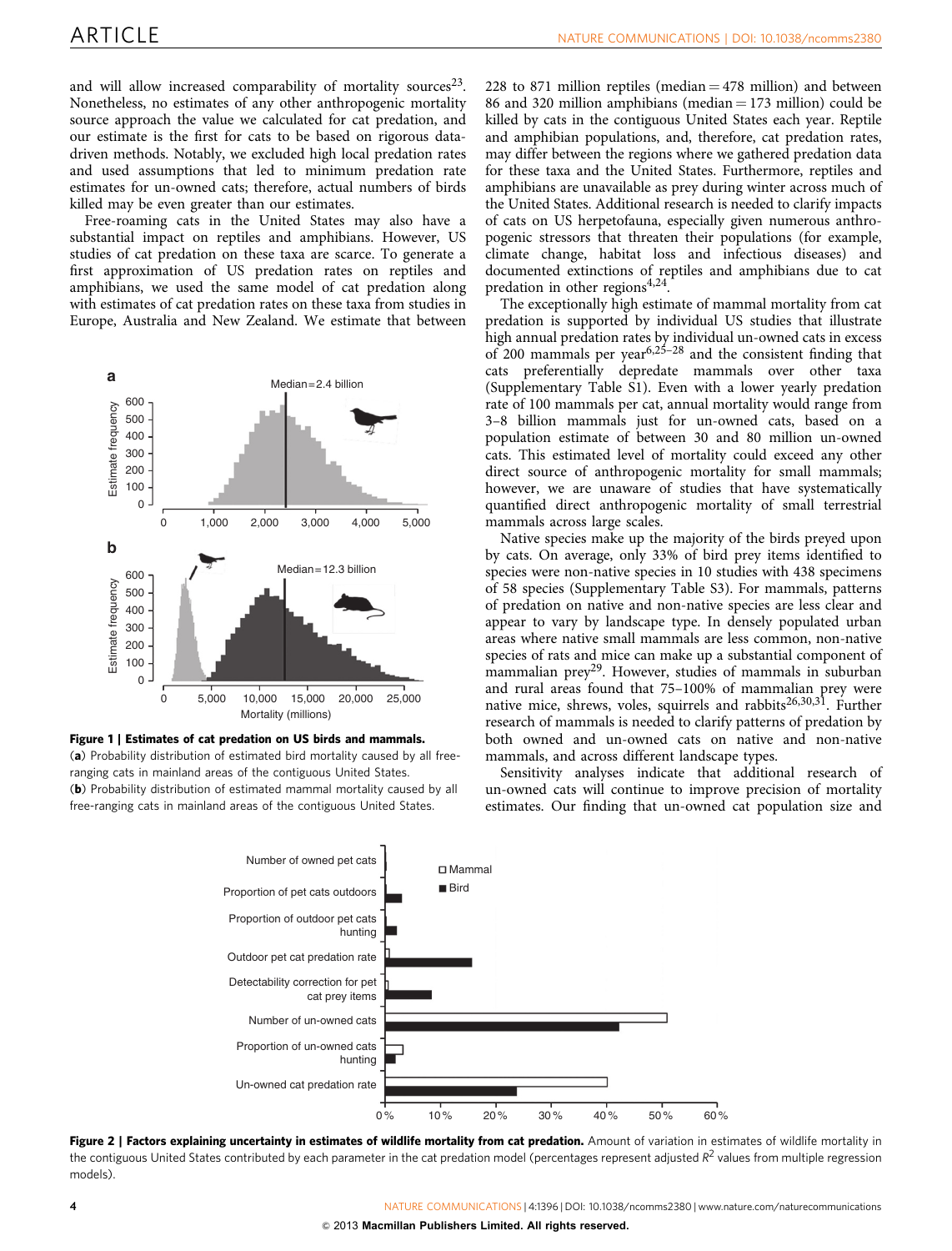<span id="page-3-0"></span>and will allow increased comparability of mortality sources<sup>23</sup>. Nonetheless, no estimates of any other anthropogenic mortality source approach the value we calculated for cat predation, and our estimate is the first for cats to be based on rigorous datadriven methods. Notably, we excluded high local predation rates and used assumptions that led to minimum predation rate estimates for un-owned cats; therefore, actual numbers of birds killed may be even greater than our estimates.

Free-roaming cats in the United States may also have a substantial impact on reptiles and amphibians. However, US studies of cat predation on these taxa are scarce. To generate a first approximation of US predation rates on reptiles and amphibians, we used the same model of cat predation along with estimates of cat predation rates on these taxa from studies in Europe, Australia and New Zealand. We estimate that between



Figure 1 | Estimates of cat predation on US birds and mammals. (a) Probability distribution of estimated bird mortality caused by all freeranging cats in mainland areas of the contiguous United States. (b) Probability distribution of estimated mammal mortality caused by all free-ranging cats in mainland areas of the contiguous United States.

228 to 871 million reptiles (median  $=$  478 million) and between 86 and 320 million amphibians (median  $=$  173 million) could be killed by cats in the contiguous United States each year. Reptile and amphibian populations, and, therefore, cat predation rates, may differ between the regions where we gathered predation data for these taxa and the United States. Furthermore, reptiles and amphibians are unavailable as prey during winter across much of the United States. Additional research is needed to clarify impacts of cats on US herpetofauna, especially given numerous anthropogenic stressors that threaten their populations (for example, climate change, habitat loss and infectious diseases) and documented extinctions of reptiles and amphibians due to cat predation in other regions<sup>[4,24](#page-5-0)</sup>.

The exceptionally high estimate of mammal mortality from cat predation is supported by individual US studies that illustrate high annual predation rates by individual un-owned cats in excess of 200 mammals per yea[r6,25–28](#page-5-0) and the consistent finding that cats preferentially depredate mammals over other taxa (Supplementary Table S1). Even with a lower yearly predation rate of 100 mammals per cat, annual mortality would range from 3–8 billion mammals just for un-owned cats, based on a population estimate of between 30 and 80 million un-owned cats. This estimated level of mortality could exceed any other direct source of anthropogenic mortality for small mammals; however, we are unaware of studies that have systematically quantified direct anthropogenic mortality of small terrestrial mammals across large scales.

Native species make up the majority of the birds preyed upon by cats. On average, only 33% of bird prey items identified to species were non-native species in 10 studies with 438 specimens of 58 species (Supplementary Table S3). For mammals, patterns of predation on native and non-native species are less clear and appear to vary by landscape type. In densely populated urban areas where native small mammals are less common, non-native species of rats and mice can make up a substantial component of mammalian prey<sup>29</sup>. However, studies of mammals in suburban and rural areas found that 75–100% of mammalian prey were native mice, shrews, voles, squirrels and rabbits<sup>26,30,31</sup>. Further research of mammals is needed to clarify patterns of predation by both owned and un-owned cats on native and non-native mammals, and across different landscape types.

Sensitivity analyses indicate that additional research of un-owned cats will continue to improve precision of mortality estimates. Our finding that un-owned cat population size and



Figure 2 | Factors explaining uncertainty in estimates of wildlife mortality from cat predation. Amount of variation in estimates of wildlife mortality in the contiguous United States contributed by each parameter in the cat predation model (percentages represent adjusted  $R<sup>2</sup>$  values from multiple regression models).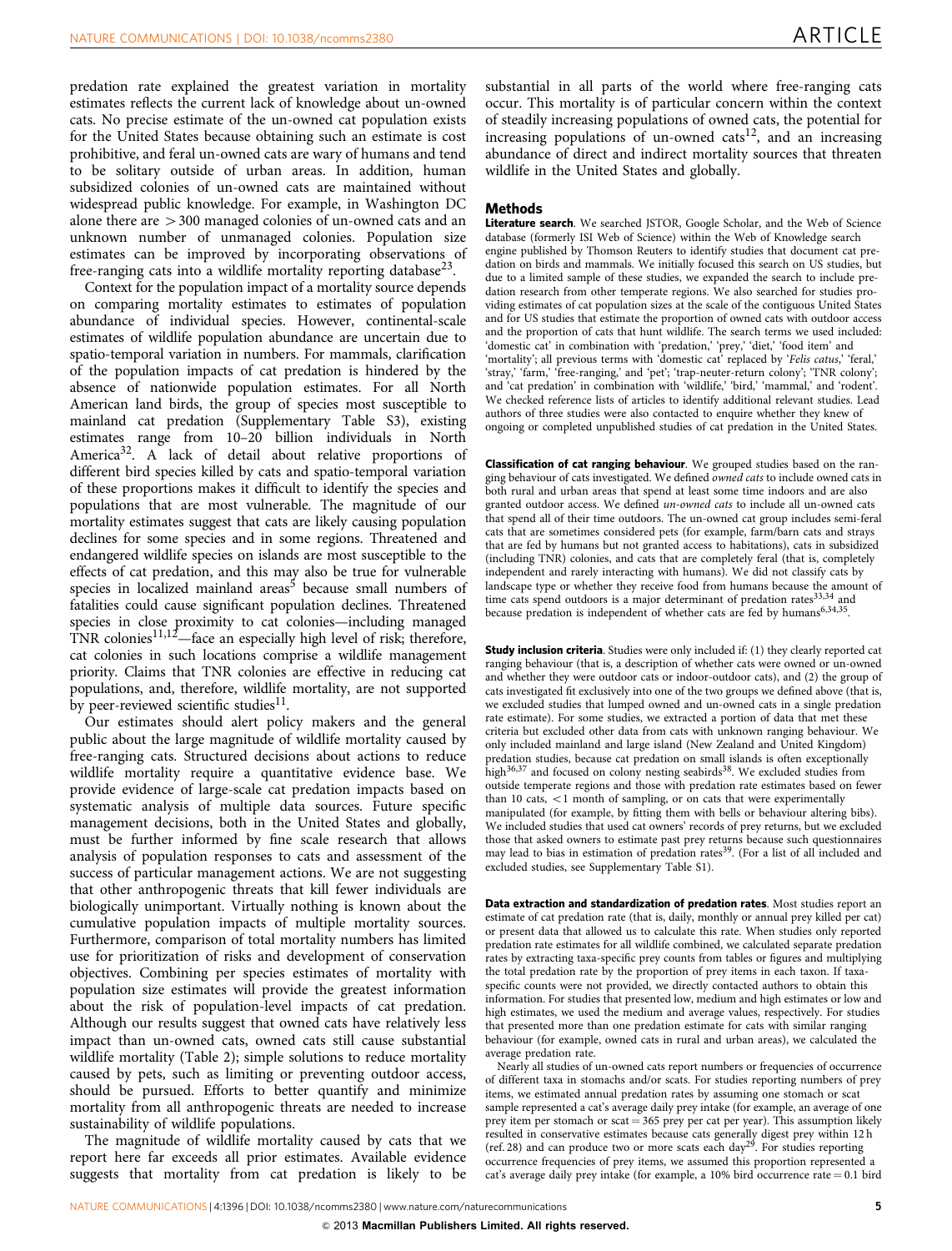predation rate explained the greatest variation in mortality estimates reflects the current lack of knowledge about un-owned cats. No precise estimate of the un-owned cat population exists for the United States because obtaining such an estimate is cost prohibitive, and feral un-owned cats are wary of humans and tend to be solitary outside of urban areas. In addition, human subsidized colonies of un-owned cats are maintained without widespread public knowledge. For example, in Washington DC alone there are  $>$  300 managed colonies of un-owned cats and an unknown number of unmanaged colonies. Population size estimates can be improved by incorporating observations of free-ranging cats into a wildlife mortality reporting database<sup>[23](#page-5-0)</sup>.

Context for the population impact of a mortality source depends on comparing mortality estimates to estimates of population abundance of individual species. However, continental-scale estimates of wildlife population abundance are uncertain due to spatio-temporal variation in numbers. For mammals, clarification of the population impacts of cat predation is hindered by the absence of nationwide population estimates. For all North American land birds, the group of species most susceptible to mainland cat predation (Supplementary Table S3), existing estimates range from 10–20 billion individuals in North America<sup>32</sup>. A lack of detail about relative proportions of different bird species killed by cats and spatio-temporal variation of these proportions makes it difficult to identify the species and populations that are most vulnerable. The magnitude of our mortality estimates suggest that cats are likely causing population declines for some species and in some regions. Threatened and endangered wildlife species on islands are most susceptible to the effects of cat predation, and this may also be true for vulnerable species in localized mainland areas<sup>5</sup> because small numbers of fatalities could cause significant population declines. Threatened species in close proximity to cat colonies—including managed TNR colonies<sup>11,12</sup>—face an especially high level of risk; therefore, cat colonies in such locations comprise a wildlife management priority. Claims that TNR colonies are effective in reducing cat populations, and, therefore, wildlife mortality, are not supported by peer-reviewed scientific studies<sup>11</sup>.

Our estimates should alert policy makers and the general public about the large magnitude of wildlife mortality caused by free-ranging cats. Structured decisions about actions to reduce wildlife mortality require a quantitative evidence base. We provide evidence of large-scale cat predation impacts based on systematic analysis of multiple data sources. Future specific management decisions, both in the United States and globally, must be further informed by fine scale research that allows analysis of population responses to cats and assessment of the success of particular management actions. We are not suggesting that other anthropogenic threats that kill fewer individuals are biologically unimportant. Virtually nothing is known about the cumulative population impacts of multiple mortality sources. Furthermore, comparison of total mortality numbers has limited use for prioritization of risks and development of conservation objectives. Combining per species estimates of mortality with population size estimates will provide the greatest information about the risk of population-level impacts of cat predation. Although our results suggest that owned cats have relatively less impact than un-owned cats, owned cats still cause substantial wildlife mortality ([Table 2](#page-2-0)); simple solutions to reduce mortality caused by pets, such as limiting or preventing outdoor access, should be pursued. Efforts to better quantify and minimize mortality from all anthropogenic threats are needed to increase sustainability of wildlife populations.

The magnitude of wildlife mortality caused by cats that we report here far exceeds all prior estimates. Available evidence suggests that mortality from cat predation is likely to be substantial in all parts of the world where free-ranging cats occur. This mortality is of particular concern within the context of steadily increasing populations of owned cats, the potential for increasing populations of un-owned cats<sup>12</sup>, and an increasing abundance of direct and indirect mortality sources that threaten wildlife in the United States and globally.

#### **Methods**

Literature search. We searched JSTOR, Google Scholar, and the Web of Science database (formerly ISI Web of Science) within the Web of Knowledge search engine published by Thomson Reuters to identify studies that document cat predation on birds and mammals. We initially focused this search on US studies, but due to a limited sample of these studies, we expanded the search to include predation research from other temperate regions. We also searched for studies providing estimates of cat population sizes at the scale of the contiguous United States and for US studies that estimate the proportion of owned cats with outdoor access and the proportion of cats that hunt wildlife. The search terms we used included: 'domestic cat' in combination with 'predation,' 'prey,' 'diet,' 'food item' and 'mortality'; all previous terms with 'domestic cat' replaced by 'Felis catus,' 'feral,' 'stray,' 'farm,' 'free-ranging,' and 'pet'; 'trap-neuter-return colony'; 'TNR colony'; and 'cat predation' in combination with 'wildlife,' 'bird,' 'mammal,' and 'rodent'. We checked reference lists of articles to identify additional relevant studies. Lead authors of three studies were also contacted to enquire whether they knew of ongoing or completed unpublished studies of cat predation in the United States.

Classification of cat ranging behaviour. We grouped studies based on the ranging behaviour of cats investigated. We defined owned cats to include owned cats in both rural and urban areas that spend at least some time indoors and are also granted outdoor access. We defined un-owned cats to include all un-owned cats that spend all of their time outdoors. The un-owned cat group includes semi-feral cats that are sometimes considered pets (for example, farm/barn cats and strays that are fed by humans but not granted access to habitations), cats in subsidized (including TNR) colonies, and cats that are completely feral (that is, completely independent and rarely interacting with humans). We did not classify cats by landscape type or whether they receive food from humans because the amount of time cats spend outdoors is a major determinant of predation rates<sup>[33,34](#page-5-0)</sup> and because predation is independent of whether cats are fed by humans<sup>[6,34,35](#page-5-0)</sup>

Study inclusion criteria. Studies were only included if: (1) they clearly reported cat ranging behaviour (that is, a description of whether cats were owned or un-owned and whether they were outdoor cats or indoor-outdoor cats), and (2) the group of cats investigated fit exclusively into one of the two groups we defined above (that is, we excluded studies that lumped owned and un-owned cats in a single predation rate estimate). For some studies, we extracted a portion of data that met these criteria but excluded other data from cats with unknown ranging behaviour. We only included mainland and large island (New Zealand and United Kingdom) predation studies, because cat predation on small islands is often exceptionally high<sup>[36,37](#page-6-0)</sup> and focused on colony nesting seabirds<sup>38</sup>. We excluded studies from outside temperate regions and those with predation rate estimates based on fewer than 10 cats,  $<$  1 month of sampling, or on cats that were experimentally manipulated (for example, by fitting them with bells or behaviour altering bibs). We included studies that used cat owners' records of prey returns, but we excluded those that asked owners to estimate past prey returns because such questionnaires may lead to bias in estimation of predation rates $39$ . (For a list of all included and excluded studies, see Supplementary Table S1).

Data extraction and standardization of predation rates. Most studies report an estimate of cat predation rate (that is, daily, monthly or annual prey killed per cat) or present data that allowed us to calculate this rate. When studies only reported predation rate estimates for all wildlife combined, we calculated separate predation rates by extracting taxa-specific prey counts from tables or figures and multiplying the total predation rate by the proportion of prey items in each taxon. If taxaspecific counts were not provided, we directly contacted authors to obtain this information. For studies that presented low, medium and high estimates or low and high estimates, we used the medium and average values, respectively. For studies that presented more than one predation estimate for cats with similar ranging behaviour (for example, owned cats in rural and urban areas), we calculated the average predation rate.

Nearly all studies of un-owned cats report numbers or frequencies of occurrence of different taxa in stomachs and/or scats. For studies reporting numbers of prey items, we estimated annual predation rates by assuming one stomach or scat sample represented a cat's average daily prey intake (for example, an average of one prey item per stomach or  $scat = 365$  prey per cat per year). This assumption likely resulted in conservative estimates because cats generally digest prey within 12 h (ref. 28) and can produce two or more scats each day<sup>[29](#page-5-0)</sup>. For studies reporting occurrence frequencies of prey items, we assumed this proportion represented a cat's average daily prey intake (for example, a  $10\%$  bird occurrence rate  $= 0.1$  bird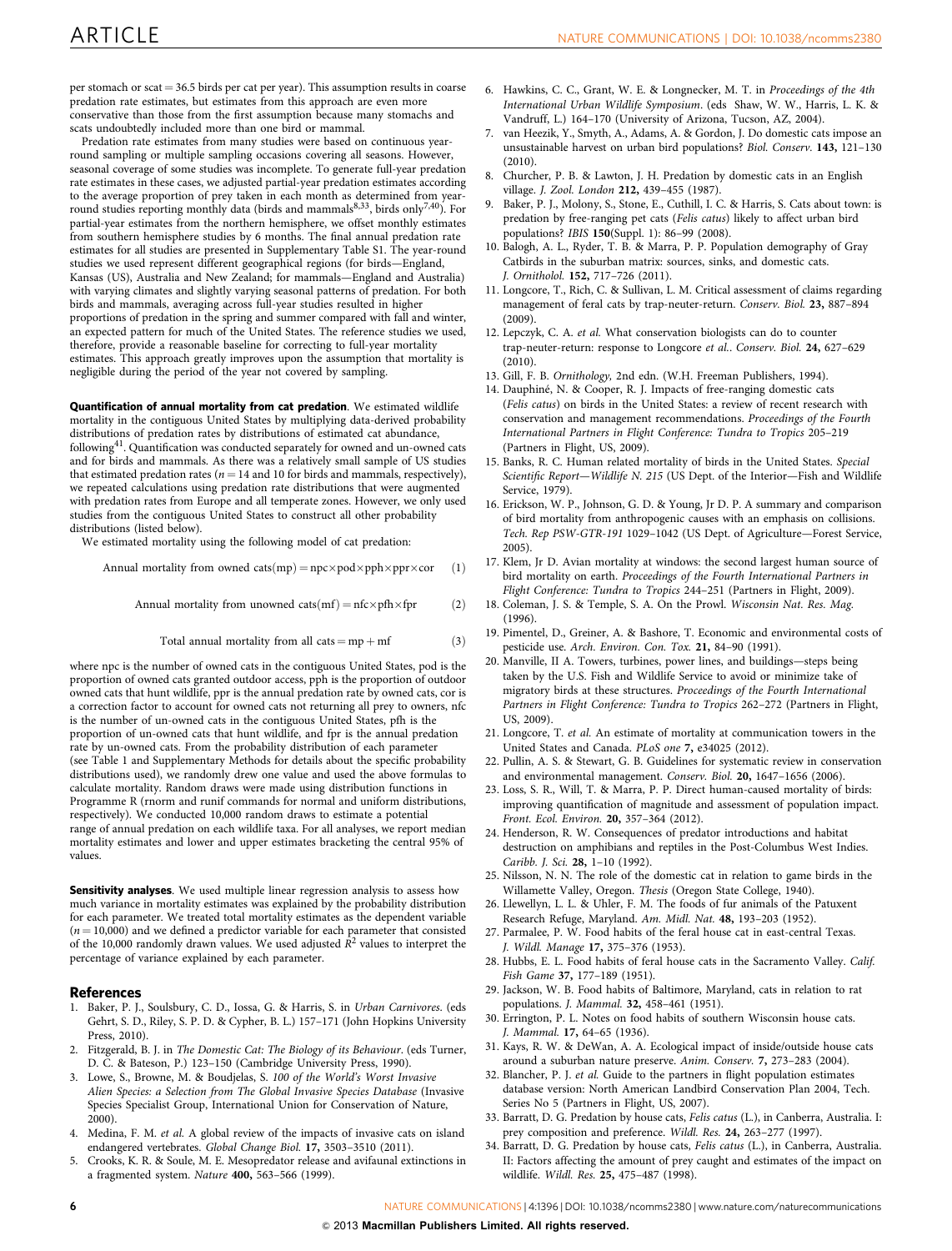<span id="page-5-0"></span>per stomach or  $scat = 36.5$  birds per cat per year). This assumption results in coarse predation rate estimates, but estimates from this approach are even more conservative than those from the first assumption because many stomachs and scats undoubtedly included more than one bird or mammal.

Predation rate estimates from many studies were based on continuous yearround sampling or multiple sampling occasions covering all seasons. However, seasonal coverage of some studies was incomplete. To generate full-year predation rate estimates in these cases, we adjusted partial-year predation estimates according to the average proportion of prey taken in each month as determined from year-<br>round studies reporting monthly data (birds and mammals<sup>8,33</sup>, birds only<sup>7,40</sup>). For partial-year estimates from the northern hemisphere, we offset monthly estimates from southern hemisphere studies by 6 months. The final annual predation rate estimates for all studies are presented in Supplementary Table S1. The year-round studies we used represent different geographical regions (for birds—England, Kansas (US), Australia and New Zealand; for mammals—England and Australia) with varying climates and slightly varying seasonal patterns of predation. For both birds and mammals, averaging across full-year studies resulted in higher proportions of predation in the spring and summer compared with fall and winter, an expected pattern for much of the United States. The reference studies we used, therefore, provide a reasonable baseline for correcting to full-year mortality estimates. This approach greatly improves upon the assumption that mortality is negligible during the period of the year not covered by sampling.

Quantification of annual mortality from cat predation. We estimated wildlife mortality in the contiguous United States by multiplying data-derived probability distributions of predation rates by distributions of estimated cat abundance,  $\operatorname{following}^{41}.$  $\operatorname{following}^{41}.$  $\operatorname{following}^{41}.$  Quantification was conducted separately for owned and un-owned cats and for birds and mammals. As there was a relatively small sample of US studies that estimated predation rates ( $n = 14$  and 10 for birds and mammals, respectively), we repeated calculations using predation rate distributions that were augmented with predation rates from Europe and all temperate zones. However, we only used studies from the contiguous United States to construct all other probability distributions (listed below).

We estimated mortality using the following model of cat predation:

Annual mortality from owned  $\text{cats}(mp) = \text{npc} \times \text{pod} \times \text{ppn} \times \text{ppr} \times \text{cor}$  (1)

$$
Annual mortality from unowned cats(mf) = nfc \times pfh \times fpr
$$
 (2)

$$
Total annual mortality from all cats = mp + mf
$$
\n(3)

where npc is the number of owned cats in the contiguous United States, pod is the proportion of owned cats granted outdoor access, pph is the proportion of outdoor owned cats that hunt wildlife, ppr is the annual predation rate by owned cats, cor is a correction factor to account for owned cats not returning all prey to owners, nfc is the number of un-owned cats in the contiguous United States, pfh is the proportion of un-owned cats that hunt wildlife, and fpr is the annual predation rate by un-owned cats. From the probability distribution of each parameter (see [Table 1](#page-2-0) and Supplementary Methods for details about the specific probability distributions used), we randomly drew one value and used the above formulas to calculate mortality. Random draws were made using distribution functions in Programme R (rnorm and runif commands for normal and uniform distributions, respectively). We conducted 10,000 random draws to estimate a potential range of annual predation on each wildlife taxa. For all analyses, we report median mortality estimates and lower and upper estimates bracketing the central 95% of values.

Sensitivity analyses. We used multiple linear regression analysis to assess how much variance in mortality estimates was explained by the probability distribution for each parameter. We treated total mortality estimates as the dependent variable  $(n = 10,000)$  and we defined a predictor variable for each parameter that consisted of the 10,000 randomly drawn values. We used adjusted  $\bar{R}^2$  values to interpret the percentage of variance explained by each parameter.

#### References

- 1. Baker, P. J., Soulsbury, C. D., Iossa, G. & Harris, S. in Urban Carnivores. (eds Gehrt, S. D., Riley, S. P. D. & Cypher, B. L.) 157–171 (John Hopkins University Press, 2010).
- 2. Fitzgerald, B. J. in The Domestic Cat: The Biology of its Behaviour. (eds Turner, D. C. & Bateson, P.) 123–150 (Cambridge University Press, 1990).
- 3. Lowe, S., Browne, M. & Boudjelas, S. 100 of the World's Worst Invasive Alien Species: a Selection from The Global Invasive Species Database (Invasive Species Specialist Group, International Union for Conservation of Nature, 2000).
- 4. Medina, F. M. et al. A global review of the impacts of invasive cats on island endangered vertebrates. Global Change Biol. 17, 3503-3510 (2011).
- 5. Crooks, K. R. & Soule, M. E. Mesopredator release and avifaunal extinctions in a fragmented system. Nature 400, 563–566 (1999).
- 6. Hawkins, C. C., Grant, W. E. & Longnecker, M. T. in Proceedings of the 4th International Urban Wildlife Symposium. (eds Shaw, W. W., Harris, L. K. & Vandruff, L.) 164–170 (University of Arizona, Tucson, AZ, 2004).
- van Heezik, Y., Smyth, A., Adams, A. & Gordon, J. Do domestic cats impose an unsustainable harvest on urban bird populations? Biol. Conserv. 143, 121–130  $(2010)$
- 8. Churcher, P. B. & Lawton, J. H. Predation by domestic cats in an English village. J. Zool. London 212, 439–455 (1987).
- 9. Baker, P. J., Molony, S., Stone, E., Cuthill, I. C. & Harris, S. Cats about town: is predation by free-ranging pet cats (Felis catus) likely to affect urban bird populations? IBIS 150(Suppl. 1): 86–99 (2008).
- 10. Balogh, A. L., Ryder, T. B. & Marra, P. P. Population demography of Gray Catbirds in the suburban matrix: sources, sinks, and domestic cats. J. Ornitholol. 152, 717–726 (2011).
- 11. Longcore, T., Rich, C. & Sullivan, L. M. Critical assessment of claims regarding management of feral cats by trap-neuter-return. Conserv. Biol. 23, 887–894  $(2009)$
- 12. Lepczyk, C. A. et al. What conservation biologists can do to counter trap-neuter-return: response to Longcore et al.. Conserv. Biol. 24, 627–629  $(2010)$
- 13. Gill, F. B. Ornithology, 2nd edn. (W.H. Freeman Publishers, 1994).
- 14. Dauphiné, N. & Cooper, R. J. Impacts of free-ranging domestic cats (Felis catus) on birds in the United States: a review of recent research with conservation and management recommendations. Proceedings of the Fourth International Partners in Flight Conference: Tundra to Tropics 205–219 (Partners in Flight, US, 2009).
- 15. Banks, R. C. Human related mortality of birds in the United States. Special Scientific Report—Wildlife N. 215 (US Dept. of the Interior—Fish and Wildlife Service, 1979).
- 16. Erickson, W. P., Johnson, G. D. & Young, Jr D. P. A summary and comparison of bird mortality from anthropogenic causes with an emphasis on collisions. Tech. Rep PSW-GTR-191 1029–1042 (US Dept. of Agriculture—Forest Service, 2005).
- 17. Klem, Jr D. Avian mortality at windows: the second largest human source of bird mortality on earth. Proceedings of the Fourth International Partners in Flight Conference: Tundra to Tropics 244–251 (Partners in Flight, 2009).
- 18. Coleman, J. S. & Temple, S. A. On the Prowl. Wisconsin Nat. Res. Mag. (1996).
- 19. Pimentel, D., Greiner, A. & Bashore, T. Economic and environmental costs of pesticide use. Arch. Environ. Con. Tox. 21, 84-90 (1991).
- 20. Manville, II A. Towers, turbines, power lines, and buildings—steps being taken by the U.S. Fish and Wildlife Service to avoid or minimize take of migratory birds at these structures. Proceedings of the Fourth International Partners in Flight Conference: Tundra to Tropics 262–272 (Partners in Flight, US, 2009).
- 21. Longcore, T. et al. An estimate of mortality at communication towers in the United States and Canada. PLoS one 7, e34025 (2012).
- 22. Pullin, A. S. & Stewart, G. B. Guidelines for systematic review in conservation and environmental management. Conserv. Biol. 20, 1647–1656 (2006).
- 23. Loss, S. R., Will, T. & Marra, P. P. Direct human-caused mortality of birds: improving quantification of magnitude and assessment of population impact. Front. Ecol. Environ. 20, 357–364 (2012).
- 24. Henderson, R. W. Consequences of predator introductions and habitat destruction on amphibians and reptiles in the Post-Columbus West Indies. Caribb. J. Sci. 28, 1–10 (1992).
- 25. Nilsson, N. N. The role of the domestic cat in relation to game birds in the Willamette Valley, Oregon. Thesis (Oregon State College, 1940).
- 26. Llewellyn, L. L. & Uhler, F. M. The foods of fur animals of the Patuxent Research Refuge, Maryland. Am. Midl. Nat. 48, 193–203 (1952).
- 27. Parmalee, P. W. Food habits of the feral house cat in east-central Texas. J. Wildl. Manage 17, 375–376 (1953).
- 28. Hubbs, E. L. Food habits of feral house cats in the Sacramento Valley. Calif. Fish Game 37, 177–189 (1951).
- 29. Jackson, W. B. Food habits of Baltimore, Maryland, cats in relation to rat populations. J. Mammal. 32, 458–461 (1951).
- 30. Errington, P. L. Notes on food habits of southern Wisconsin house cats. J. Mammal. 17, 64–65 (1936).
- 31. Kays, R. W. & DeWan, A. A. Ecological impact of inside/outside house cats around a suburban nature preserve. Anim. Conserv. 7, 273–283 (2004).
- 32. Blancher, P. J. et al. Guide to the partners in flight population estimates database version: North American Landbird Conservation Plan 2004, Tech. Series No 5 (Partners in Flight, US, 2007).
- 33. Barratt, D. G. Predation by house cats, Felis catus (L.), in Canberra, Australia. I: prey composition and preference. Wildl. Res. 24, 263–277 (1997).
- 34. Barratt, D. G. Predation by house cats, Felis catus (L.), in Canberra, Australia. II: Factors affecting the amount of prey caught and estimates of the impact on wildlife. Wildl. Res. 25, 475–487 (1998).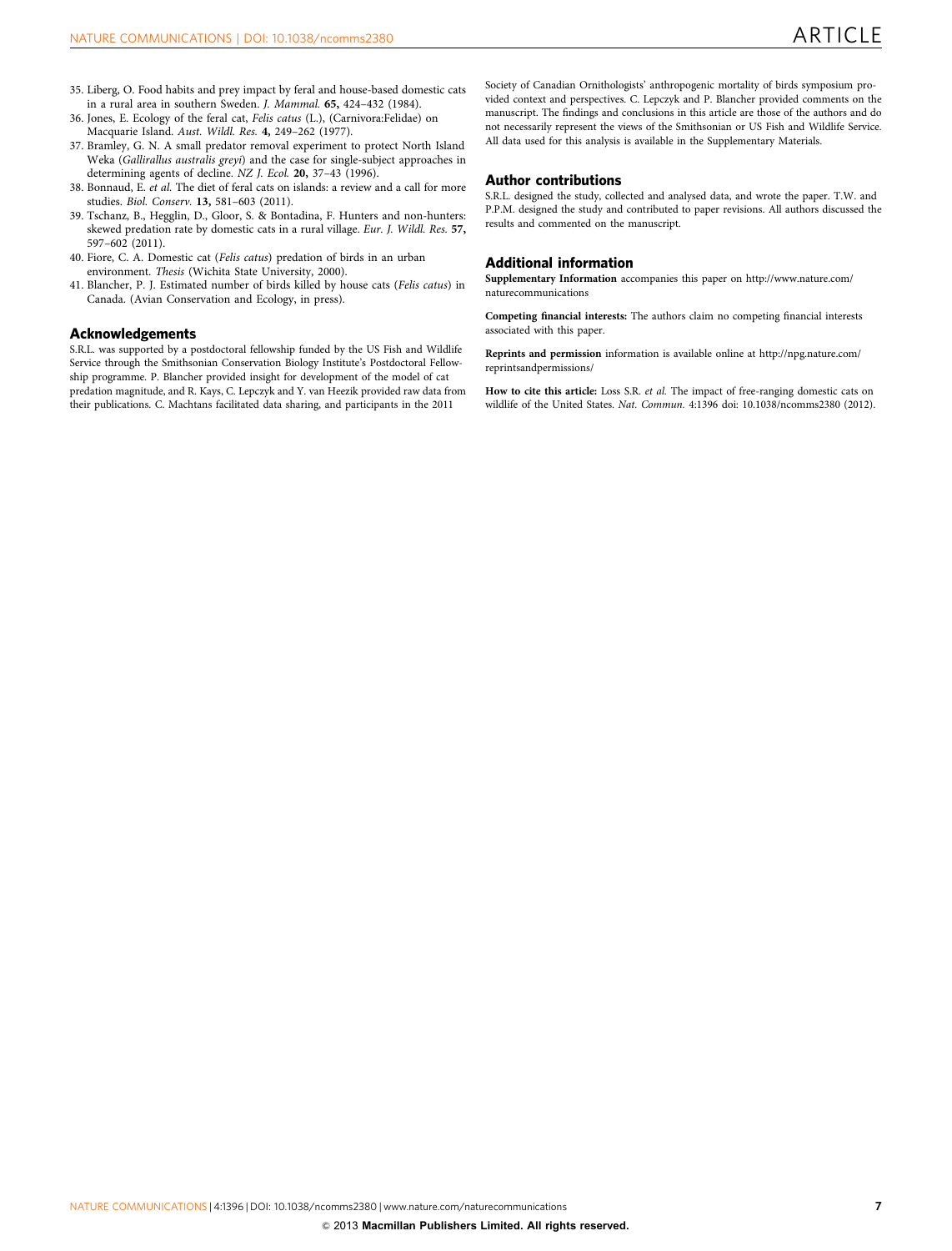- <span id="page-6-0"></span>35. Liberg, O. Food habits and prey impact by feral and house-based domestic cats in a rural area in southern Sweden. J. Mammal. 65, 424–432 (1984).
- 36. Jones, E. Ecology of the feral cat, Felis catus (L.), (Carnivora:Felidae) on Macquarie Island. Aust. Wildl. Res. 4, 249–262 (1977).
- 37. Bramley, G. N. A small predator removal experiment to protect North Island Weka (Gallirallus australis greyi) and the case for single-subject approaches in determining agents of decline. NZ J. Ecol. 20, 37–43 (1996).
- 38. Bonnaud, E. et al. The diet of feral cats on islands: a review and a call for more studies. Biol. Conserv. 13, 581–603 (2011).
- 39. Tschanz, B., Hegglin, D., Gloor, S. & Bontadina, F. Hunters and non-hunters: skewed predation rate by domestic cats in a rural village. Eur. J. Wildl. Res. 57, 597–602 (2011).
- 40. Fiore, C. A. Domestic cat (Felis catus) predation of birds in an urban environment. Thesis (Wichita State University, 2000).
- 41. Blancher, P. J. Estimated number of birds killed by house cats (Felis catus) in Canada. (Avian Conservation and Ecology, in press).

#### Acknowledgements

S.R.L. was supported by a postdoctoral fellowship funded by the US Fish and Wildlife Service through the Smithsonian Conservation Biology Institute's Postdoctoral Fellowship programme. P. Blancher provided insight for development of the model of cat predation magnitude, and R. Kays, C. Lepczyk and Y. van Heezik provided raw data from their publications. C. Machtans facilitated data sharing, and participants in the 2011

Society of Canadian Ornithologists' anthropogenic mortality of birds symposium provided context and perspectives. C. Lepczyk and P. Blancher provided comments on the manuscript. The findings and conclusions in this article are those of the authors and do not necessarily represent the views of the Smithsonian or US Fish and Wildlife Service. All data used for this analysis is available in the Supplementary Materials.

#### Author contributions

S.R.L. designed the study, collected and analysed data, and wrote the paper. T.W. and P.P.M. designed the study and contributed to paper revisions. All authors discussed the results and commented on the manuscript.

#### Additional information

Supplementary Information accompanies this paper on [http://www.nature.com/](http://www.nature.com/naturecommunications) [naturecommunications](http://www.nature.com/naturecommunications)

Competing financial interests: The authors claim no competing financial interests associated with this paper.

Reprints and permission information is available online at [http://npg.nature.com/](http://npg.nature.com/reprintsandpermissions/) [reprintsandpermissions/](http://npg.nature.com/reprintsandpermissions/)

How to cite this article: Loss S.R. et al. The impact of free-ranging domestic cats on wildlife of the United States. Nat. Commun. 4:1396 doi: 10.1038/ncomms2380 (2012).